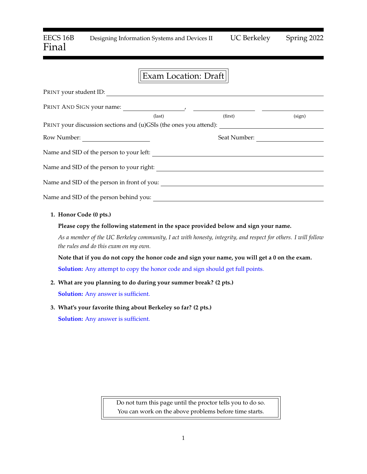# EECS 16B Designing Information Systems and Devices II UC Berkeley Spring 2022 Final

# Exam Location: Draft

| PRINT your student ID:                                                                               |                 |              |        |
|------------------------------------------------------------------------------------------------------|-----------------|--------------|--------|
|                                                                                                      |                 |              |        |
|                                                                                                      | $\text{(last)}$ | (first)      | (sign) |
| PRINT your discussion sections and (u)GSIs (the ones you attend): __________________________________ |                 |              |        |
| Row Number:                                                                                          |                 | Seat Number: |        |
| Name and SID of the person to your left:                                                             |                 |              |        |
|                                                                                                      |                 |              |        |
|                                                                                                      |                 |              |        |
|                                                                                                      |                 |              |        |
| 1. Honor Code (0 pts.)                                                                               |                 |              |        |
| Please copy the following statement in the space provided below and sign your name.                  |                 |              |        |

*As a member of the UC Berkeley community, I act with honesty, integrity, and respect for others. I will follow the rules and do this exam on my own.*

**Note that if you do not copy the honor code and sign your name, you will get a 0 on the exam. Solution:** Any attempt to copy the honor code and sign should get full points.

**2. What are you planning to do during your summer break? (2 pts.)**

**Solution:** Any answer is sufficient.

**3. What's your favorite thing about Berkeley so far? (2 pts.) Solution:** Any answer is sufficient.

> Do not turn this page until the proctor tells you to do so. You can work on the above problems before time starts.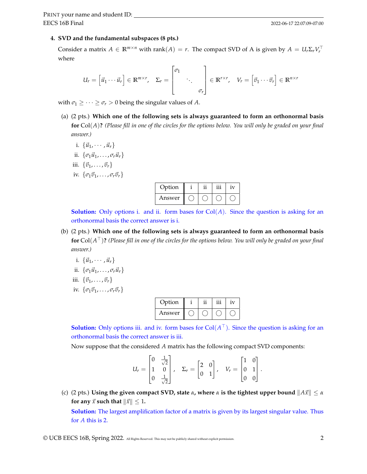#### **4. SVD and the fundamental subspaces (8 pts.)**

Consider a matrix  $A \in \mathbb{R}^{m \times n}$  with rank $(A) = r$ . The compact SVD of A is given by  $A = U_r \Sigma_r V_r^{\top}$ where

$$
U_r = \begin{bmatrix} \vec{u}_1 \cdots \vec{u}_r \end{bmatrix} \in \mathbb{R}^{m \times r}, \quad \Sigma_r = \begin{bmatrix} \sigma_1 \\ & \ddots \\ & & \sigma_r \end{bmatrix} \in \mathbb{R}^{r \times r}, \quad V_r = \begin{bmatrix} \vec{v}_1 \cdots \vec{v}_r \end{bmatrix} \in \mathbb{R}^{n \times r}
$$

with  $\sigma_1 \geq \cdots \geq \sigma_r > 0$  being the singular values of *A*.

- (a) (2 pts.) **Which one of the following sets is always guaranteed to form an orthonormal basis for** Col(*A*)**?** *(Please fill in one of the circles for the options below. You will only be graded on your final answer.)*
	- i.  $\{\vec{u}_1, \cdots, \vec{u}_r\}$
	- ii.  $\{\sigma_1\vec{u}_1, \ldots, \sigma_r\vec{u}_r\}$
	- iii.  $\{\vec{v}_1, \ldots, \vec{v}_r\}$
	- iv.  $\{\sigma_1\vec{v}_1,\ldots,\sigma_r\vec{v}_r\}$

| Option |  | 1V |
|--------|--|----|
| Answer |  |    |

**Solution:** Only options i. and ii. form bases for Col(*A*). Since the question is asking for an orthonormal basis the correct answer is i.

- (b) (2 pts.) **Which one of the following sets is always guaranteed to form an orthonormal basis for** Col(*A* <sup>&</sup>gt;)**?** *(Please fill in one of the circles for the options below. You will only be graded on your final answer.)*
	- i.  $\{\vec{u}_1, \cdots, \vec{u}_r\}$
	- ii.  $\{\sigma_1\vec{u}_1, \ldots, \sigma_r\vec{u}_r\}$
	- iii.  $\{\vec{v}_1, \ldots, \vec{v}_r\}$
	- iv.  $\{\sigma_1\vec{v}_1,\ldots,\sigma_r\vec{v}_r\}$

| Option |  | 1 V |
|--------|--|-----|
| Answer |  |     |

**Solution:** Only options iii. and iv. form bases for  $Col(A^{\top})$ . Since the question is asking for an orthonormal basis the correct answer is iii.

Now suppose that the considered *A* matrix has the following compact SVD components:

$$
U_r = \begin{bmatrix} 0 & \frac{1}{\sqrt{2}} \\ 1 & 0 \\ 0 & \frac{1}{\sqrt{2}} \end{bmatrix}, \quad \Sigma_r = \begin{bmatrix} 2 & 0 \\ 0 & 1 \end{bmatrix}, \quad V_r = \begin{bmatrix} 1 & 0 \\ 0 & 1 \\ 0 & 0 \end{bmatrix}.
$$

(c) (2 pts.) **Using the given compact SVD, state**  $\alpha$ , where  $\alpha$  is the tightest upper bound  $||A\vec{x}|| \leq \alpha$ **for any**  $\vec{x}$  **such that**  $\|\vec{x}\| \leq 1$ .

**Solution:** The largest amplification factor of a matrix is given by its largest singular value. Thus for *A* this is 2.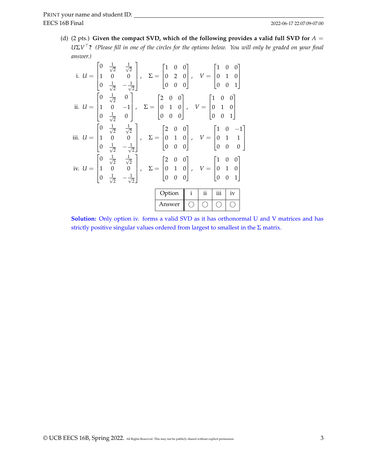(d) (2 pts.) Given the compact SVD, which of the following provides a valid full SVD for  $A =$ *U*Σ*V* <sup>&</sup>gt;**?** *(Please fill in one of the circles for the options below. You will only be graded on your final answer.)*

| i. $U = \begin{bmatrix} 0 & \frac{1}{\sqrt{2}} & \frac{1}{\sqrt{2}} \\ 1 & 0 & 0 \\ 0 & \frac{1}{\sqrt{2}} & -\frac{1}{\sqrt{2}} \end{bmatrix}$ , $\Sigma = \begin{bmatrix} 1 & 0 & 0 \\ 0 & 2 & 0 \\ 0 & 0 & 0 \end{bmatrix}$ , $V = \begin{bmatrix} 1 & 0 & 0 \\ 0 & 1 & 0 \\ 0 & 0 & 1 \end{bmatrix}$    |  |        |                            |          |     |    |  |
|-------------------------------------------------------------------------------------------------------------------------------------------------------------------------------------------------------------------------------------------------------------------------------------------------------------|--|--------|----------------------------|----------|-----|----|--|
| ii. $U = \begin{bmatrix} 0 & \frac{1}{\sqrt{2}} & 0 \\ 1 & 0 & -1 \\ 0 & \frac{1}{\sqrt{2}} & 0 \end{bmatrix}$ , $\Sigma = \begin{bmatrix} 2 & 0 & 0 \\ 0 & 1 & 0 \\ 0 & 0 & 0 \end{bmatrix}$ , $V = \begin{bmatrix} 1 & 0 & 0 \\ 0 & 1 & 0 \\ 0 & 0 & 1 \end{bmatrix}$                                     |  |        |                            |          |     |    |  |
| iii. $U = \begin{bmatrix} 0 & \frac{1}{\sqrt{2}} & \frac{1}{\sqrt{2}} \\ 1 & 0 & 0 \\ 0 & \frac{1}{\sqrt{2}} & -\frac{1}{\sqrt{2}} \end{bmatrix}$ , $\Sigma = \begin{bmatrix} 2 & 0 & 0 \\ 0 & 1 & 0 \\ 0 & 0 & 0 \end{bmatrix}$ , $V = \begin{bmatrix} 1 & 0 & -1 \\ 0 & 1 & 1 \\ 0 & 0 & 0 \end{bmatrix}$ |  |        |                            |          |     |    |  |
| iv. $U = \begin{bmatrix} 0 & \frac{1}{\sqrt{2}} & \frac{1}{\sqrt{2}} \\ 1 & 0 & 0 \\ 0 & \frac{1}{\sqrt{2}} & -\frac{1}{\sqrt{2}} \end{bmatrix}$ , $\Sigma = \begin{bmatrix} 2 & 0 & 0 \\ 0 & 1 & 0 \\ 0 & 0 & 0 \end{bmatrix}$ , $V = \begin{bmatrix} 1 & 0 & 0 \\ 0 & 1 & 0 \\ 0 & 0 & 1 \end{bmatrix}$   |  |        |                            |          |     |    |  |
|                                                                                                                                                                                                                                                                                                             |  | Option | $\overline{\phantom{a}}$ i | $\rm ii$ | iii | iv |  |
|                                                                                                                                                                                                                                                                                                             |  |        | Answer 0 0 0 0             |          |     |    |  |

**Solution:** Only option iv. forms a valid SVD as it has orthonormal U and V matrices and has strictly positive singular values ordered from largest to smallest in the  $\Sigma$  matrix.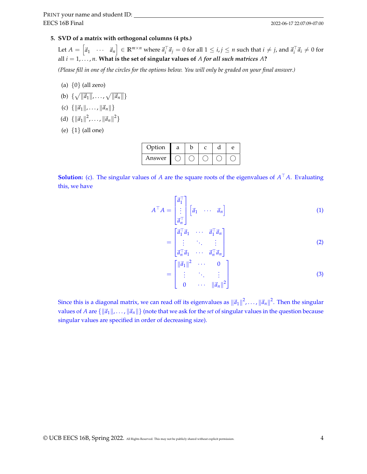#### **5. SVD of a matrix with orthogonal columns (4 pts.)**

Let  $A=\begin{bmatrix} \vec a_1 & \cdots & \vec a_n \end{bmatrix}\in\mathbb{R}^{m\times n}$  where  $\vec a_i^\top\vec a_j=0$  for all  $1\leq i,j\leq n$  such that  $i\neq j$ , and  $\vec a_i^\top\vec a_i\neq 0$  for all *i* = 1, . . . , *n*. **What is the set of singular values of** *A for all such matrices A***?**

*(Please fill in one of the circles for the options below. You will only be graded on your final answer.)*

- (a)  $\{0\}$  (all zero)
- (b)  $\{\sqrt{\|\vec{a}_1\|}, \ldots, \sqrt{\|\vec{a}_n\|}\}$
- (c)  $\{\|\vec{a}_1\|, \ldots, \|\vec{a}_n\|\}$
- (d)  $\{\|\vec{a}_1\|^2, \ldots, \|\vec{a}_n\|^2\}$
- (e) {1} (all one)

| Option | а |  | P |
|--------|---|--|---|
| Answer |   |  |   |

**Solution:** (c). The singular values of *A* are the square roots of the eigenvalues of  $A<sup>T</sup>A$ . Evaluating this, we have

$$
A^{\top} A = \begin{bmatrix} \vec{a}_1^{\top} \\ \vdots \\ \vec{a}_n^{\top} \end{bmatrix} \begin{bmatrix} \vec{a}_1 & \cdots & \vec{a}_n \end{bmatrix}
$$
 (1)

$$
= \begin{bmatrix} \vec{a}_1^\top \vec{a}_1 & \cdots & \vec{a}_1^\top \vec{a}_n \\ \vdots & \ddots & \vdots \\ \vec{a}_n^\top \vec{a}_1 & \cdots & \vec{a}_n^\top \vec{a}_n \end{bmatrix}
$$
 (2)

$$
= \begin{bmatrix} ||\vec{a}_1||^2 & \cdots & 0 \\ \vdots & \ddots & \vdots \\ 0 & \cdots & ||\vec{a}_n||^2 \end{bmatrix}
$$
 (3)

Since this is a diagonal matrix, we can read off its eigenvalues as  $\|\vec a_1\|^2$ ,...,  $\|\vec a_n\|^2$ . Then the singular values of *A* are  $\{\|\vec{a}_1\|, \ldots, \|\vec{a}_n\|\}$  (note that we ask for the *set* of singular values in the question because singular values are specified in order of decreasing size).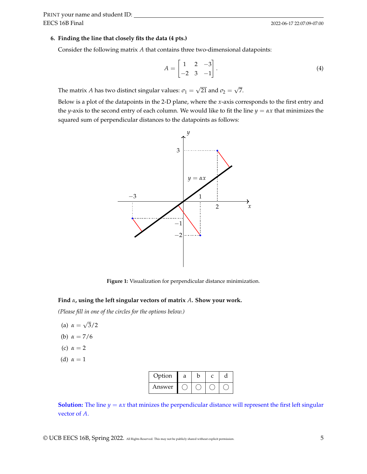#### **6. Finding the line that closely fits the data (4 pts.)**

Consider the following matrix *A* that contains three two-dimensional datapoints:

$$
A = \begin{bmatrix} 1 & 2 & -3 \\ -2 & 3 & -1 \end{bmatrix}.
$$
 (4)

The matrix *A* has two distinct singular values:  $\sigma_1 =$ √ 21 and  $\sigma_2 =$ √ 7.

Below is a plot of the datapoints in the 2-D plane, where the *x*-axis corresponds to the first entry and the *y*-axis to the second entry of each column. We would like to fit the line  $y = \alpha x$  that minimizes the squared sum of perpendicular distances to the datapoints as follows:



**Figure 1:** Visualization for perpendicular distance minimization.

#### **Find** *α***, using the left singular vectors of matrix** *A***. Show your work.**

*(Please fill in one of the circles for the options below.)*

- (a) *α* = √ 3/2
- (b) *α* = 7/6
- (c)  $\alpha = 2$
- (d)  $\alpha = 1$

| Option | а |  |  |
|--------|---|--|--|
| Answer |   |  |  |

**Solution:** The line  $y = \alpha x$  that minizes the perpendicular distance will represent the first left singular vector of *A*.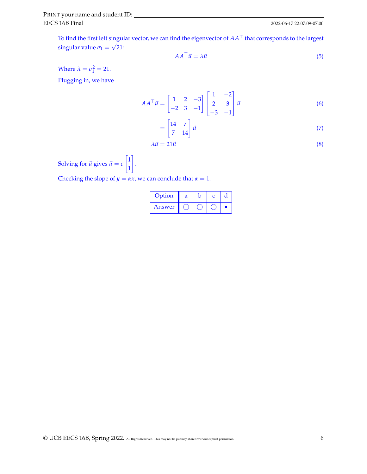To find the first left singular vector, we can find the eigenvector of  $AA<sup>T</sup>$  that corresponds to the largest singular value  $\sigma_1 =$ √ 21:

$$
AA^{\top} \vec{u} = \lambda \vec{u} \tag{5}
$$

Where  $\lambda = \sigma_1^2 = 21$ .

Plugging in, we have

$$
AA^{\top} \vec{u} = \begin{bmatrix} 1 & 2 & -3 \\ -2 & 3 & -1 \end{bmatrix} \begin{bmatrix} 1 & -2 \\ 2 & 3 \\ -3 & -1 \end{bmatrix} \vec{u}
$$
 (6)

$$
= \begin{bmatrix} 14 & 7 \\ 7 & 14 \end{bmatrix} \vec{u} \tag{7}
$$

$$
\lambda \vec{u} = 21\vec{u} \tag{8}
$$

Solving for  $\vec{u}$  gives  $\vec{u} = c$  $\lceil 1 \rceil$ 1 1

Checking the slope of  $y = \alpha x$ , we can conclude that  $\alpha = 1$ .

.

| Option | а | h |  |
|--------|---|---|--|
| Answer |   |   |  |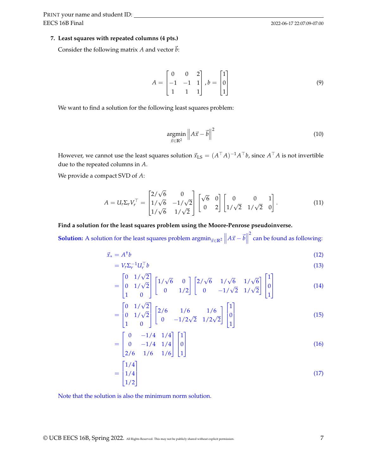#### **7. Least squares with repeated columns (4 pts.)**

Consider the following matrix *A* and vector  $\vec{b}$ :

$$
A = \begin{bmatrix} 0 & 0 & 2 \\ -1 & -1 & 1 \\ 1 & 1 & 1 \end{bmatrix}, b = \begin{bmatrix} 1 \\ 0 \\ 1 \end{bmatrix}
$$
(9)

We want to find a solution for the following least squares problem:

$$
\underset{\vec{x}\in\mathbb{R}^2}{\operatorname{argmin}}\left\|A\vec{x}-\vec{b}\right\|^2\tag{10}
$$

However, we cannot use the least squares solution  $\vec{x}_{\rm LS} = (A^\top A)^{-1}A^\top b$ , since  $A^\top A$  is not invertible due to the repeated columns in *A*.

We provide a compact SVD of *A*:

$$
A = U_r \Sigma_r V_r^\top = \begin{bmatrix} 2/\sqrt{6} & 0 \\ 1/\sqrt{6} & -1/\sqrt{2} \\ 1/\sqrt{6} & 1/\sqrt{2} \end{bmatrix} \begin{bmatrix} \sqrt{6} & 0 \\ 0 & 2 \end{bmatrix} \begin{bmatrix} 0 & 0 & 1 \\ 1/\sqrt{2} & 1/\sqrt{2} & 0 \end{bmatrix} . \tag{11}
$$

#### **Find a solution for the least squares problem using the Moore-Penrose pseudoinverse.**

**Solution:** A solution for the least squares problem  $\operatorname{argmin}_{\vec{x} \in \mathbb{R}^2} \|A\vec{x} - \vec{b}\|$ <sup>2</sup> can be found as following:

$$
\vec{x}_* = A^{\dagger}b \tag{12}
$$

$$
= V_r \Sigma_r^{-1} U_r^{\top} b \tag{13}
$$

$$
= \begin{bmatrix} 0 & 1/\sqrt{2} \\ 0 & 1/\sqrt{2} \\ 1 & 0 \end{bmatrix} \begin{bmatrix} 1/\sqrt{6} & 0 \\ 0 & 1/2 \end{bmatrix} \begin{bmatrix} 2/\sqrt{6} & 1/\sqrt{6} & 1/\sqrt{6} \\ 0 & -1/\sqrt{2} & 1/\sqrt{2} \end{bmatrix} \begin{bmatrix} 1 \\ 0 \\ 1 \end{bmatrix}
$$
(14)

$$
= \begin{bmatrix} 0 & 1/\sqrt{2} \\ 0 & 1/\sqrt{2} \\ 1 & 0 \end{bmatrix} \begin{bmatrix} 2/6 & 1/6 & 1/6 \\ 0 & -1/2\sqrt{2} & 1/2\sqrt{2} \end{bmatrix} \begin{bmatrix} 1 \\ 0 \\ 1 \end{bmatrix}
$$
(15)

$$
= \begin{bmatrix} 0 & -1/4 & 1/4 \\ 0 & -1/4 & 1/4 \\ 2/6 & 1/6 & 1/6 \end{bmatrix} \begin{bmatrix} 1 \\ 0 \\ 1 \end{bmatrix}
$$
 (16)

$$
= \begin{bmatrix} 1/4 \\ 1/4 \\ 1/2 \end{bmatrix} \tag{17}
$$

Note that the solution is also the minimum norm solution.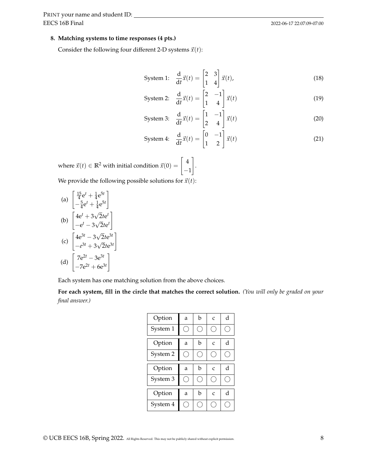#### **8. Matching systems to time responses (4 pts.)**

Consider the following four different 2-D systems  $\vec{x}(t)$ :

$$
\text{System 1:} \quad \frac{\mathrm{d}}{\mathrm{d}t} \vec{x}(t) = \begin{bmatrix} 2 & 3 \\ 1 & 4 \end{bmatrix} \vec{x}(t),\tag{18}
$$

$$
\text{System 2:} \quad \frac{\mathrm{d}}{\mathrm{d}t} \vec{x}(t) = \begin{bmatrix} 2 & -1 \\ 1 & 4 \end{bmatrix} \vec{x}(t) \tag{19}
$$

$$
\text{System 3:} \quad \frac{\text{d}}{\text{d}t} \vec{x}(t) = \begin{bmatrix} 1 & -1 \\ 2 & 4 \end{bmatrix} \vec{x}(t) \tag{20}
$$

$$
\text{System 4:} \quad \frac{\text{d}}{\text{d}t}\vec{x}(t) = \begin{bmatrix} 0 & -1 \\ 1 & 2 \end{bmatrix}\vec{x}(t) \tag{21}
$$

where  $\vec{x}(t) \in \mathbb{R}^2$  with initial condition  $\vec{x}(0) = \left[\begin{array}{c} 4 \end{array}\right]$ −1 1 . We provide the following possible solutions for  $\vec{x}(t)$ :

(a) 
$$
\begin{bmatrix} \frac{15}{4}e^{t} + \frac{1}{4}e^{5t} \\ -\frac{5}{4}e^{t} + \frac{1}{4}e^{5t} \end{bmatrix}
$$
  
\n(b) 
$$
\begin{bmatrix} 4e^{t} + 3\sqrt{2}te^{t} \\ -e^{t} - 3\sqrt{2}te^{t} \end{bmatrix}
$$
  
\n(c) 
$$
\begin{bmatrix} 4e^{3t} - 3\sqrt{2}te^{3t} \\ -e^{3t} + 3\sqrt{2}te^{3t} \end{bmatrix}
$$
  
\n(d) 
$$
\begin{bmatrix} 7e^{2t} - 3e^{3t} \\ -e^{3t} + 3e^{3t} \end{bmatrix}
$$

 $-7e^{2t} + 6e^{3t}$ 

Each system has one matching solution from the above choices.

**For each system, fill in the circle that matches the correct solution.** *(You will only be graded on your final answer.)*

| Option   | a | b | $\overline{C}$ | d |
|----------|---|---|----------------|---|
| System 1 |   |   |                |   |
| Option   | a | h | $\mathsf{C}$   | d |
| System 2 |   |   |                |   |
| Option   | a | b | $\mathcal{C}$  | d |
|          |   |   |                |   |
| System 3 |   |   |                |   |
| Option   | a | h | $\mathcal{C}$  | d |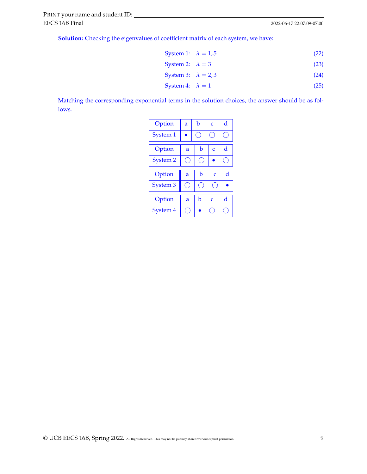**Solution:** Checking the eigenvalues of coefficient matrix of each system, we have:

$$
System 1: \quad \lambda = 1,5 \tag{22}
$$

$$
System 2: \quad \lambda = 3 \tag{23}
$$

$$
System 3: \quad \lambda = 2,3 \tag{24}
$$

$$
System 4: \quad \lambda = 1 \tag{25}
$$

Matching the corresponding exponential terms in the solution choices, the answer should be as follows.

| Option              | a | h | $\mathcal{C}_{\mathcal{C}}$ | d |
|---------------------|---|---|-----------------------------|---|
| System 1            |   |   |                             |   |
| Option              | a | h | Č                           | d |
| <b>System 2</b>     |   |   |                             |   |
|                     |   |   |                             |   |
| Option              | a | b | $\mathcal{C}$               | d |
| System <sub>3</sub> |   |   |                             |   |
| Option              | a | b | $\mathcal{C}_{\mathcal{C}}$ | d |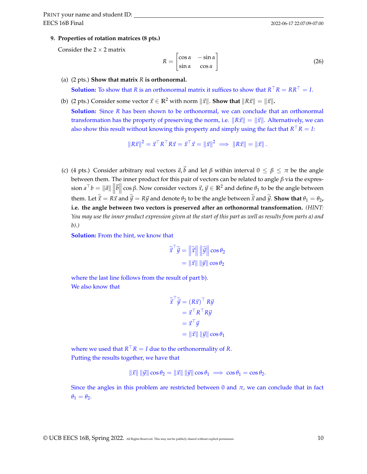**9. Properties of rotation matrices (8 pts.)**

Consider the  $2 \times 2$  matrix

$$
R = \begin{bmatrix} \cos \alpha & -\sin \alpha \\ \sin \alpha & \cos \alpha \end{bmatrix}
$$
 (26)

(a) (2 pts.) **Show that matrix** *R* **is orthonormal.**

**Solution:** To show that *R* is an orthonormal matrix it suffices to show that  $R^{\top}R = RR^{\top} = I$ .

(b) (2 pts.) Consider some vector  $\vec{x} \in \mathbb{R}^2$  with norm  $\|\vec{x}\|$ . **Show that**  $\|R\vec{x}\| = \|\vec{x}\|$ .

**Solution:** Since *R* has been shown to be orthonormal, we can conclude that an orthonormal transformation has the property of preserving the norm, i.e.  $\|R\vec{x}\| = \|\vec{x}\|$ . Alternatively, we can also show this result without knowing this property and simply using the fact that  $R^{\top}R = I$ :

$$
||R\vec{x}||^2 = \vec{x}^\top R^\top R \vec{x} = \vec{x}^\top \vec{x} = ||\vec{x}||^2 \implies ||R\vec{x}|| = ||\vec{x}||.
$$

(c) (4 pts.) Consider arbitrary real vectors  $\vec{a}$ ,  $\vec{b}$  and let  $\beta$  within interval  $0 \leq \beta \leq \pi$  be the angle between them. The inner product for this pair of vectors can be related to angle *β* via the expres- $\sin a^\top b = \| \vec{a} \| \left\| \vec{b} \right\| \cos \beta.$  Now consider vectors  $\vec{x}$ ,  $\vec{y} \in \mathbb{R}^2$  and define  $\theta_1$  to be the angle between  $|| \cdot ||$ them. Let  $\vec{x} = R\vec{x}$  and  $\vec{y} = R\vec{y}$  and denote  $\theta_2$  to be the angle between  $\vec{x}$  and  $\vec{y}$ . **Show that**  $\theta_1 = \theta_2$ , **i.e. the angle between two vectors is preserved after an orthonormal transformation.** *(HINT: You may use the inner product expression given at the start of this part as well as results from parts a) and b).)*

**Solution:** From the hint, we know that

$$
\widetilde{\vec{x}}^{\top} \widetilde{\vec{y}} = \left\| \widetilde{\vec{x}} \right\| \left\| \widetilde{\vec{y}} \right\| \cos \theta_2
$$

$$
= \left\| \vec{x} \right\| \left\| \vec{y} \right\| \cos \theta_2
$$

where the last line follows from the result of part b). We also know that

$$
\widetilde{\vec{x}}^{\top} \widetilde{\vec{y}} = (R\vec{x})^{\top} R\vec{y} \n= \vec{x}^{\top} R^{\top} R\vec{y} \n= \vec{x}^{\top} \vec{y} \n= ||\vec{x}|| ||\vec{y}|| \cos \theta_1
$$

where we used that  $R^{\top}R = I$  due to the orthonormality of *R*. Putting the results together, we have that

$$
\|\vec{x}\| \|\vec{y}\| \cos \theta_2 = \|\vec{x}\| \|\vec{y}\| \cos \theta_1 \implies \cos \theta_1 = \cos \theta_2.
$$

Since the angles in this problem are restricted between 0 and  $\pi$ , we can conclude that in fact  $\theta_1 = \theta_2$ .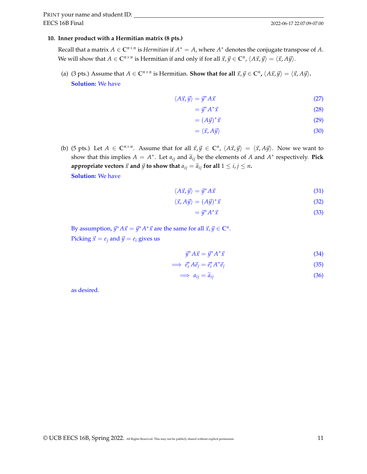#### **10. Inner product with a Hermitian matrix (8 pts.)**

Recall that a matrix  $A \in \mathbb{C}^{n \times n}$  is *Hermitian* if  $A^* = A$ , where  $A^*$  denotes the conjugate transpose of A. We will show that  $A \in \mathbb{C}^{n \times n}$  is Hermitian if and only if for all  $\vec{x}, \vec{y} \in \mathbb{C}^n$ ,  $\langle A\vec{x}, \vec{y} \rangle = \langle \vec{x}, A\vec{y} \rangle$ .

(a) (3 pts.) Assume that  $A \in \mathbb{C}^{n \times n}$  is Hermitian. **Show that for all**  $\vec{x}, \vec{y} \in \mathbb{C}^n$ ,  $\langle A\vec{x}, \vec{y} \rangle = \langle \vec{x}, A\vec{y} \rangle$ . **Solution:** We have

$$
\langle A\vec{x}, \vec{y} \rangle = \vec{y}^* A \vec{x} \tag{27}
$$

$$
=\vec{y}^*A^*\vec{x}\tag{28}
$$

$$
= (A\vec{y})^* \vec{x} \tag{29}
$$

$$
= \langle \vec{x}, A\vec{y} \rangle \tag{30}
$$

(b) (5 pts.) Let  $A \in \mathbb{C}^{n \times n}$ . Assume that for all  $\vec{x}, \vec{y} \in \mathbb{C}^n$ ,  $\langle A\vec{x}, \vec{y} \rangle = \langle \vec{x}, A\vec{y} \rangle$ . Now we want to show that this implies  $A = A^*$ . Let  $a_{ij}$  and  $\tilde{a}_{ij}$  be the elements of *A* and  $A^*$  respectively. **Pick appropriate vectors**  $\vec{x}$  **and**  $\vec{y}$  **to show that**  $a_{ij} = \tilde{a}_{ij}$  for all  $1 \le i, j \le n$ . **Solution:** We have

$$
\langle A\vec{x}, \vec{y} \rangle = \vec{y}^* A \vec{x} \tag{31}
$$

$$
\langle \vec{x}, A\vec{y} \rangle = (A\vec{y})^* \vec{x} \tag{32}
$$

$$
=\vec{y}^*A^*\vec{x}\tag{33}
$$

By assumption,  $\vec{y}^* A \vec{x} = \vec{y}^* A^* \vec{x}$  are the same for all  $\vec{x}, \vec{y} \in \mathbb{C}^n$ . Picking  $\vec{x} = e_i$  and  $\vec{y} = e_i$  gives us

$$
\vec{y}^* A \vec{x} = \vec{y}^* A^* \vec{x} \tag{34}
$$

$$
\implies \vec{e}_i^* A \vec{e}_j = \vec{e}_i^* A^* \vec{e}_j \tag{35}
$$

$$
\implies a_{ij} = \tilde{a}_{ij} \tag{36}
$$

as desired.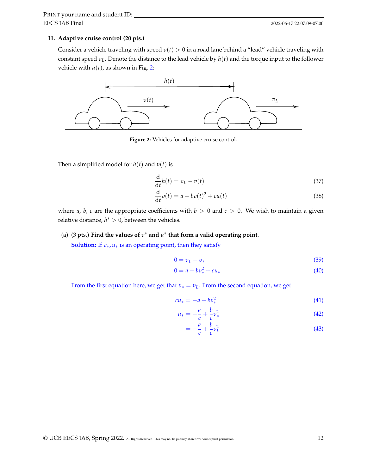### **11. Adaptive cruise control (20 pts.)**

Consider a vehicle traveling with speed  $v(t) > 0$  in a road lane behind a "lead" vehicle traveling with constant speed *vL*. Denote the distance to the lead vehicle by *h*(*t*) and the torque input to the follower vehicle with  $u(t)$ , as shown in Fig. [2:](#page-11-0)

<span id="page-11-0"></span>

**Figure 2:** Vehicles for adaptive cruise control.

Then a simplified model for  $h(t)$  and  $v(t)$  is

$$
\frac{\mathrm{d}}{\mathrm{d}t}h(t) = v_L - v(t) \tag{37}
$$

$$
\frac{\mathrm{d}}{\mathrm{d}t}v(t) = a - bv(t)^2 + cu(t) \tag{38}
$$

where *a*, *b*, *c* are the appropriate coefficients with  $b > 0$  and  $c > 0$ . We wish to maintain a given relative distance,  $h^* > 0$ , between the vehicles.

## (a) (3 pts.) Find the values of  $v^*$  and  $u^*$  that form a valid operating point.

**Solution:** If  $v_*, u_*$  is an operating point, then they satisfy

$$
0 = v_L - v_* \tag{39}
$$

$$
0 = a - bv_*^2 + cu_* \tag{40}
$$

From the first equation here, we get that  $v_* = v_L$ . From the second equation, we get

$$
cu_* = -a + bv_*^2 \tag{41}
$$

$$
u_* = -\frac{a}{c} + \frac{b}{c}v_*^2
$$
 (42)

$$
=-\frac{a}{c}+\frac{b}{c}v_L^2\tag{43}
$$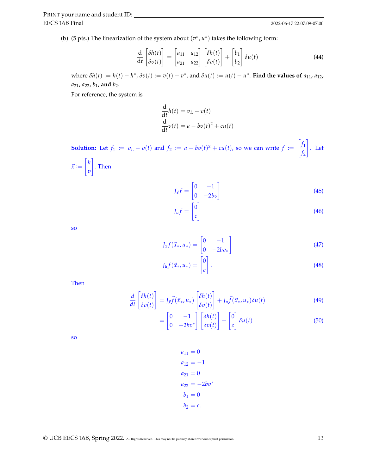(b) (5 pts.) The linearization of the system about  $(v^*, u^*)$  takes the following form:

$$
\frac{\mathrm{d}}{\mathrm{d}t} \begin{bmatrix} \delta h(t) \\ \delta v(t) \end{bmatrix} = \begin{bmatrix} a_{11} & a_{12} \\ a_{21} & a_{22} \end{bmatrix} \begin{bmatrix} \delta h(t) \\ \delta v(t) \end{bmatrix} + \begin{bmatrix} b_1 \\ b_2 \end{bmatrix} \delta u(t) \tag{44}
$$

where  $\delta h(t) := h(t) - h^*$ ,  $\delta v(t) := v(t) - v^*$ , and  $\delta u(t) := u(t) - u^*$ . Find the values of  $a_{11}$ ,  $a_{12}$ , *a*21**,** *a*22**,** *b*1**, and** *b*2**.**

For reference, the system is

$$
\frac{d}{dt}h(t) = v_L - v(t)
$$
  

$$
\frac{d}{dt}v(t) = a - bv(t)^2 + cu(t)
$$

**Solution:** Let  $f_1 := v_L - v(t)$  and  $f_2 := a - bv(t)^2 + cu(t)$ , so we can write  $f :=$  $\int f_1$ *f*2 1 . Let  $\vec{x} :=$  $\lceil h \rceil$ *v* 1 . Then

$$
J_{\vec{x}}f = \begin{bmatrix} 0 & -1 \\ 0 & -2bv \end{bmatrix} \tag{45}
$$

$$
J_{\mu}f = \begin{bmatrix} 0\\c \end{bmatrix} \tag{46}
$$

so

$$
J_x f(\vec{x}_*, u_*) = \begin{bmatrix} 0 & -1 \\ 0 & -2bv_* \end{bmatrix}
$$
 (47)

$$
J_{u}f(\vec{x}_{*},u_{*}) = \begin{bmatrix} 0\\c \end{bmatrix}.
$$
 (48)

Then

$$
\frac{d}{dt}\begin{bmatrix} \delta h(t) \\ \delta v(t) \end{bmatrix} = J_{\vec{x}}\vec{f}(\vec{x}_*, u_*) \begin{bmatrix} \delta h(t) \\ \delta v(t) \end{bmatrix} + J_u\vec{f}(\vec{x}_*, u_*) \delta u(t) \tag{49}
$$

$$
= \begin{bmatrix} 0 & -1 \\ 0 & -2bv^* \end{bmatrix} \begin{bmatrix} \delta h(t) \\ \delta v(t) \end{bmatrix} + \begin{bmatrix} 0 \\ c \end{bmatrix} \delta u(t) \tag{50}
$$

so

$$
a_{11} = 0
$$
  
\n
$$
a_{12} = -1
$$
  
\n
$$
a_{21} = 0
$$
  
\n
$$
a_{22} = -2bv^*
$$
  
\n
$$
b_1 = 0
$$
  
\n
$$
b_2 = c
$$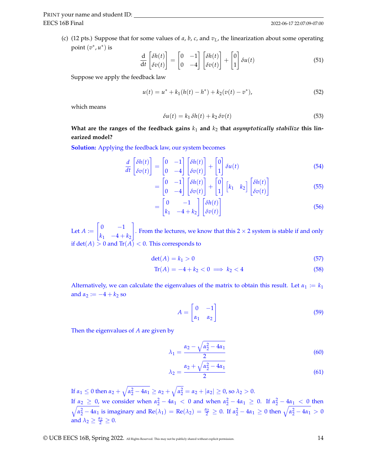(c) (12 pts.) Suppose that for some values of *a*, *b*, *c*, and *vL*, the linearization about some operating point  $(v^*, u^*)$  is

$$
\frac{d}{dt} \begin{bmatrix} \delta h(t) \\ \delta v(t) \end{bmatrix} = \begin{bmatrix} 0 & -1 \\ 0 & -4 \end{bmatrix} \begin{bmatrix} \delta h(t) \\ \delta v(t) \end{bmatrix} + \begin{bmatrix} 0 \\ 1 \end{bmatrix} \delta u(t) \tag{51}
$$

Suppose we apply the feedback law

$$
u(t) = u^* + k_1(h(t) - h^*) + k_2(v(t) - v^*),
$$
\n(52)

which means

$$
\delta u(t) = k_1 \, \delta h(t) + k_2 \, \delta v(t) \tag{53}
$$

What are the ranges of the feedback gains  $k_1$  and  $k_2$  that *asymptotically stabilize* this lin**earized model?**

**Solution:** Applying the feedback law, our system becomes

$$
\frac{d}{dt} \begin{bmatrix} \delta h(t) \\ \delta v(t) \end{bmatrix} = \begin{bmatrix} 0 & -1 \\ 0 & -4 \end{bmatrix} \begin{bmatrix} \delta h(t) \\ \delta v(t) \end{bmatrix} + \begin{bmatrix} 0 \\ 1 \end{bmatrix} \delta u(t) \tag{54}
$$

$$
= \begin{bmatrix} 0 & -1 \\ 0 & -4 \end{bmatrix} \begin{bmatrix} \delta h(t) \\ \delta v(t) \end{bmatrix} + \begin{bmatrix} 0 \\ 1 \end{bmatrix} \begin{bmatrix} k_1 & k_2 \end{bmatrix} \begin{bmatrix} \delta h(t) \\ \delta v(t) \end{bmatrix}
$$
(55)

$$
= \begin{bmatrix} 0 & -1 \\ k_1 & -4 + k_2 \end{bmatrix} \begin{bmatrix} \delta h(t) \\ \delta v(t) \end{bmatrix}
$$
 (56)

Let  $A \coloneqq$  $\begin{bmatrix} 0 & -1 \end{bmatrix}$  $k_1$  −4 +  $k_2$ 1 . From the lectures, we know that this  $2 \times 2$  system is stable if and only if  $\det(A) > 0$  and  $\text{Tr}(A) < 0$ . This corresponds to

$$
\det(A) = k_1 > 0 \tag{57}
$$

$$
\operatorname{Tr}(A) = -4 + k_2 < 0 \implies k_2 < 4 \tag{58}
$$

Alternatively, we can calculate the eigenvalues of the matrix to obtain this result. Let  $\alpha_1 := k_1$ and  $\alpha_2 := -4 + k_2$  so

$$
A = \begin{bmatrix} 0 & -1 \\ \alpha_1 & \alpha_2 \end{bmatrix} \tag{59}
$$

Then the eigenvalues of *A* are given by

$$
\lambda_1 = \frac{\alpha_2 - \sqrt{\alpha_2^2 - 4\alpha_1}}{2} \tag{60}
$$

$$
\lambda_2 = \frac{\alpha_2 + \sqrt{\alpha_2^2 - 4\alpha_1}}{2} \tag{61}
$$

If *α*<sub>1</sub> ≤ 0 then *α*<sub>2</sub> +  $\sqrt{α_2^2 - 4α_1} ≥ α_2 + \sqrt{α_2^2} = α_2 + |α_2| ≥ 0$ , so  $λ_2 > 0$ . If  $\alpha_2 \geq 0$ , we consider when  $\alpha_2^2 - 4\alpha_1 < 0$  and when  $\alpha_2^2 - 4\alpha_1 \geq 0$ . If  $\alpha_2^2 - 4\alpha_1 < 0$  then  $\sqrt{\alpha_2^2 - 4\alpha_1}$  is imaginary and Re( $λ_1$ ) = Re( $λ_2$ ) =  $\frac{α_2}{2}$  ≥ 0. If  $α_2^2 - 4α_1$  ≥ 0 then  $\sqrt{\alpha_2^2 - 4α_1}$  > 0 and  $\lambda_2 \geq \frac{\alpha_2}{2} \geq 0$ .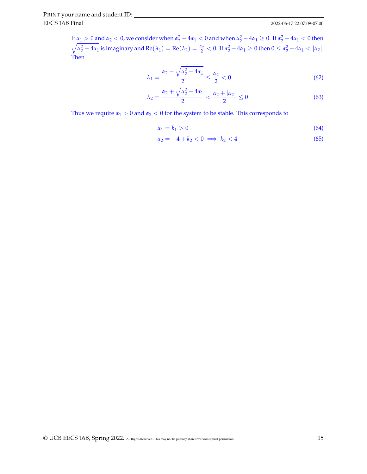If  $\alpha_1 > 0$  and  $\alpha_2 < 0$ , we consider when  $\alpha_2^2 - 4\alpha_1 < 0$  and when  $\alpha_2^2 - 4\alpha_1 \ge 0$ . If  $\alpha_2^2 - 4\alpha_1 < 0$  then  $\sqrt{\alpha_2^2-4\alpha_1}$  is imaginary and  $\text{Re}(\lambda_1)=\text{Re}(\lambda_2)=\frac{\alpha_2}{2}< 0$ . If  $\alpha_2^2-4\alpha_1\geq 0$  then  $0\leq \alpha_2^2-4\alpha_1<|\alpha_2|.$ Then

$$
\lambda_1 = \frac{\alpha_2 - \sqrt{\alpha_2^2 - 4\alpha_1}}{2} \le \frac{\alpha_2}{2} < 0 \tag{62}
$$

$$
\lambda_2 = \frac{\alpha_2 + \sqrt{\alpha_2^2 - 4\alpha_1}}{2} < \frac{\alpha_2 + |\alpha_2|}{2} \le 0 \tag{63}
$$

Thus we require  $\alpha_1 > 0$  and  $\alpha_2 < 0$  for the system to be stable. This corresponds to

$$
\alpha_1 = k_1 > 0 \tag{64}
$$

$$
\alpha_2 = -4 + k_2 < 0 \implies k_2 < 4 \tag{65}
$$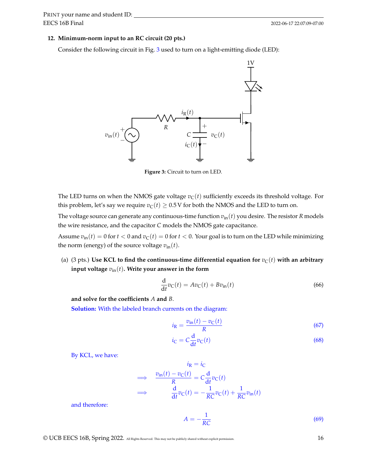#### **12. Minimum-norm input to an RC circuit (20 pts.)**

<span id="page-15-0"></span>Consider the following circuit in Fig. [3](#page-15-0) used to turn on a light-emitting diode (LED):



**Figure 3:** Circuit to turn on LED.

The LED turns on when the NMOS gate voltage  $v<sub>C</sub>(t)$  sufficiently exceeds its threshold voltage. For this problem, let's say we require  $v<sub>C</sub>(t) \ge 0.5$  V for both the NMOS and the LED to turn on.

The voltage source can generate any continuous-time function  $v_{\text{in}}(t)$  you desire. The resistor *R* models the wire resistance, and the capacitor *C* models the NMOS gate capacitance.

Assume  $v_{\text{in}}(t) = 0$  for  $t < 0$  and  $v_{\text{C}}(t) = 0$  for  $t < 0$ . Your goal is to turn on the LED while minimizing the norm (energy) of the source voltage  $v_{\text{in}}(t)$ .

(a) (3 pts.) Use KCL to find the continuous-time differential equation for  $v_C(t)$  with an arbitrary **input voltage** *v*in(*t*)**. Write your answer in the form**

$$
\frac{\mathrm{d}}{\mathrm{d}t}v_{\mathrm{C}}(t) = Av_{\mathrm{C}}(t) + Bv_{\mathrm{in}}(t)
$$
\n(66)

**and solve for the coefficients** *A* **and** *B*.

**Solution:** With the labeled branch currents on the diagram:

$$
i_{\rm R} = \frac{v_{\rm in}(t) - v_{\rm C}(t)}{R} \tag{67}
$$

$$
i_{\rm C} = C \frac{\mathrm{d}}{\mathrm{d}t} v_{\rm C}(t) \tag{68}
$$

By KCL, we have:

$$
i_{\mathbf{R}} = i_{\mathbf{C}}
$$
  
\n
$$
\implies \frac{v_{\text{in}}(t) - v_{\mathbf{C}}(t)}{R} = C \frac{d}{dt} v_{\mathbf{C}}(t)
$$
  
\n
$$
\implies \frac{d}{dt} v_{\mathbf{C}}(t) = -\frac{1}{RC} v_{\mathbf{C}}(t) + \frac{1}{RC} v_{\text{in}}(t)
$$

and therefore:

$$
A = -\frac{1}{RC} \tag{69}
$$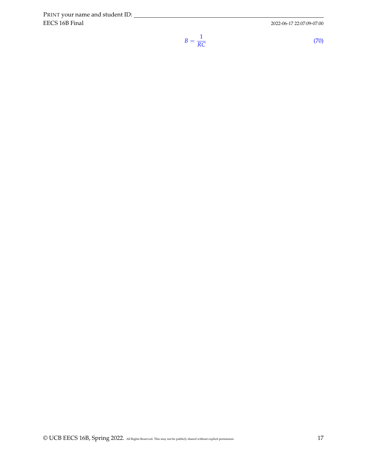EECS 16B Final PRINT your name and student ID:

2022-06-17 22:07:09-07:00

$$
=\frac{1}{RC}
$$
 (70)

*B* =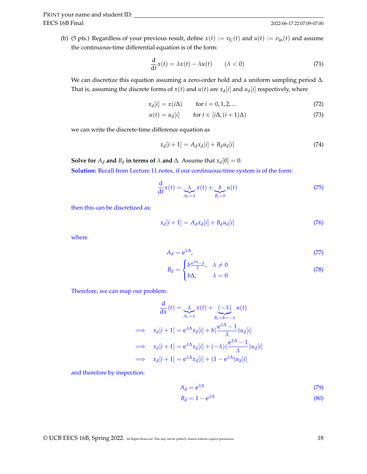(b) (5 pts.) Regardless of your previous result, define  $x(t) := v_C(t)$  and  $u(t) := v_{in}(t)$  and assume the continuous-time differential equation is of the form:

$$
\frac{d}{dt}x(t) = \lambda x(t) - \lambda u(t) \qquad (\lambda < 0)
$$
\n(71)

We can discretize this equation assuming a zero-order hold and a uniform sampling period ∆. That is, assuming the discrete forms of  $x(t)$  and  $u(t)$  are  $x_d[i]$  and  $u_d[i]$  respectively, where

$$
x_d[i] = x(i\Delta) \qquad \text{for } i = 0, 1, 2, ... \tag{72}
$$

$$
u(t) = u_d[i] \quad \text{for } t \in [i\Delta, (i+1)\Delta)
$$
 (73)

we can write the discrete-time difference equation as

$$
x_d[i+1] = A_d x_d[i] + B_d u_d[i] \tag{74}
$$

**Solve for**  $A_d$  **and**  $B_d$  **in terms of**  $\lambda$  **and**  $\Delta$ . Assume that  $x_d[0] = 0$ .

**Solution:** Recall from Lecture 11 notes, if our continuous-time system is of the form:

$$
\frac{\mathrm{d}}{\mathrm{d}t}x(t) = \underbrace{\lambda}_{A_c=\lambda}x(t) + \underbrace{b}_{B_c=b}u(t) \tag{75}
$$

then this can be discretized as:

$$
x_d[i+1] = A_d x_d[i] + B_d u_d[i] \tag{76}
$$

where

$$
A_d = e^{\lambda \Delta}, \tag{77}
$$

$$
B_d = \begin{cases} b \frac{e^{\lambda \Delta} - 1}{\lambda}, & \lambda \neq 0 \\ b\Delta, & \lambda = 0 \end{cases}
$$
 (78)

Therefore, we can map our problem:

$$
\frac{d}{dx}(t) = \lambda_{a} x(t) + \sum_{B_c=b=-\lambda} (1+t)
$$
\n
$$
\implies x_d[i+1] = e^{\lambda \Delta} x_d[i] + b \left( \frac{e^{\lambda \Delta} - 1}{\lambda} \right) u_d[i]
$$
\n
$$
\implies x_d[i+1] = e^{\lambda \Delta} x_d[i] + (-\lambda) \left( \frac{e^{\lambda \Delta} - 1}{\lambda} \right) u_d[i]
$$
\n
$$
\implies x_d[i+1] = e^{\lambda \Delta} x_d[i] + (1 - e^{\lambda \Delta}) u_d[i]
$$

and therefore by inspection:

$$
A_d = e^{\lambda \Delta} \tag{79}
$$

$$
B_d = 1 - e^{\lambda \Delta} \tag{80}
$$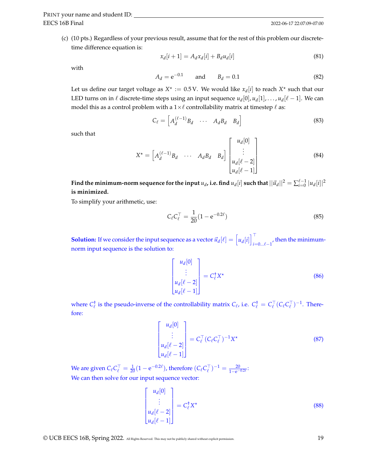(c) (10 pts.) Regardless of your previous result, assume that for the rest of this problem our discretetime difference equation is:

$$
x_d[i+1] = A_d x_d[i] + B_d u_d[i] \tag{81}
$$

with

$$
A_d = e^{-0.1} \qquad \text{and} \qquad B_d = 0.1 \tag{82}
$$

Let us define our target voltage as  $X^* := 0.5$  V. We would like  $x_d[i]$  to reach  $X^*$  such that our LED turns on in  $\ell$  discrete-time steps using an input sequence  $u_d[0]$ ,  $u_d[1]$ , . . . ,  $u_d[\ell-1]$ . We can model this as a control problem with a  $1\times \ell$  controllability matrix at timestep  $\ell$  as:

$$
C_{\ell} = \begin{bmatrix} A_d^{(\ell-1)} B_d & \cdots & A_d B_d & B_d \end{bmatrix}
$$
 (83)

such that

$$
X^* = \begin{bmatrix} A_d^{(\ell-1)} B_d & \cdots & A_d B_d & B_d \end{bmatrix} \begin{bmatrix} u_d[0] \\ \vdots \\ u_d[\ell-2] \\ u_d[\ell-1] \end{bmatrix} \tag{84}
$$

Find the minimum-norm sequence for the input  $u_d$ , i.e. find  $u_d[i]$  such that  $||\vec{u}_d||^2 = \sum_{i=0}^{\ell-1} |u_d[i]|^2$ **is minimized.**

To simplify your arithmetic, use:

$$
C_{\ell} C_{\ell}^{\top} = \frac{1}{20} (1 - e^{-0.2\ell})
$$
\n(85)

**Solution:** If we consider the input sequence as a vector  $\vec{u}_d[\ell] = \begin{bmatrix} u_d[i] \end{bmatrix}^\top$  $\mu_{i=0... \ell-1}$ , then the minimumnorm input sequence is the solution to:

$$
\begin{bmatrix} u_d[0] \\ \vdots \\ u_d[\ell-2] \\ u_d[\ell-1] \end{bmatrix} = C_{\ell}^{\dagger} X^{\dagger}
$$
 (86)

where  $C^{\dagger}_{\ell}$  is the pseudo-inverse of the controllability matrix  $C_{\ell}$ , i.e.  $C^{\dagger}_{\ell} = C^{\top}_{\ell} (C_{\ell} C^{\top}_{\ell})^{-1}$ . Therefore:

$$
\begin{bmatrix} u_d[0] \\ \vdots \\ u_d[\ell-2] \\ u_d[\ell-1] \end{bmatrix} = C_{\ell}^{\top} (C_{\ell} C_{\ell}^{\top})^{-1} X^{\star}
$$
 (87)

We are given  $C_{\ell} C_{\ell}^{\top} = \frac{1}{20} (1 - e^{-0.2\ell})$ , therefore  $(C_{\ell} C_{\ell}^{\top})^{-1} = \frac{20}{1 - e^{-0.2\ell}}$ . We can then solve for our input sequence vector:

$$
\begin{bmatrix} u_d[0] \\ \vdots \\ u_d[\ell-2] \\ u_d[\ell-1] \end{bmatrix} = C_{\ell}^{\dagger} X^{\star}
$$
 (88)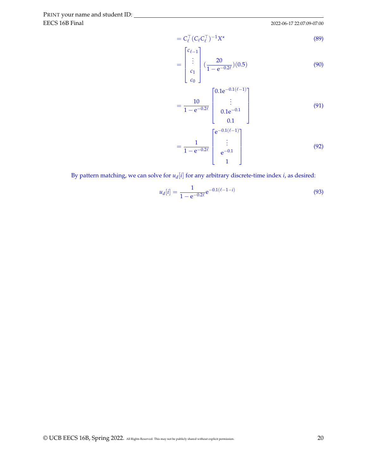EECS 16B Final PRINT your name and student ID:

2022-06-17 22:07:09-07:00

$$
=C_{\ell}^{\top} (C_{\ell} C_{\ell}^{\top})^{-1} X^{\star}
$$
\n(89)

$$
= \begin{bmatrix} c_{\ell-1} \\ \vdots \\ c_1 \\ c_0 \end{bmatrix} \left( \frac{20}{1 - e^{-0.2\ell}} \right) (0.5) \tag{90}
$$

$$
= \frac{10}{1 - e^{-0.2\ell}} \begin{bmatrix} 0.1e^{-0.1(\ell - 1)} \\ \vdots \\ 0.1e^{-0.1} \\ 0.1 \end{bmatrix}
$$
(91)

$$
=\frac{1}{1-e^{-0.2\ell}}\begin{bmatrix}e^{-0.1(\ell-1)}\\ \vdots\\ e^{-0.1}\\ 1\end{bmatrix}
$$
(92)

By pattern matching, we can solve for  $u_d[i]$  for any arbitrary discrete-time index *i*, as desired:

$$
u_d[i] = \frac{1}{1 - e^{-0.2\ell}} e^{-0.1(\ell - 1 - i)}
$$
\n(93)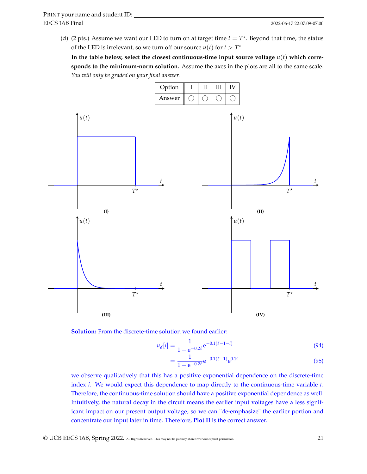(d) (2 pts.) Assume we want our LED to turn on at target time  $t = T^*$ . Beyond that time, the status of the LED is irrelevant, so we turn off our source  $u(t)$  for  $t > T^*$ .

In the table below, select the closest continuous-time input source voltage  $u(t)$  which corre**sponds to the minimum-norm solution.** Assume the axes in the plots are all to the same scale. *You will only be graded on your final answer.*



**Solution:** From the discrete-time solution we found earlier:

$$
u_d[i] = \frac{1}{1 - e^{-0.2\ell}} e^{-0.1(\ell - 1 - i)}
$$
\n(94)

$$
=\frac{1}{1-e^{-0.2\ell}}e^{-0.1(\ell-1)}e^{0.1i}
$$
\n(95)

we observe qualitatively that this has a positive exponential dependence on the discrete-time index *i*. We would expect this dependence to map directly to the continuous-time variable *t*. Therefore, the continuous-time solution should have a positive exponential dependence as well. Intuitively, the natural decay in the circuit means the earlier input voltages have a less significant impact on our present output voltage, so we can "de-emphasize" the earlier portion and concentrate our input later in time. Therefore, **Plot II** is the correct answer.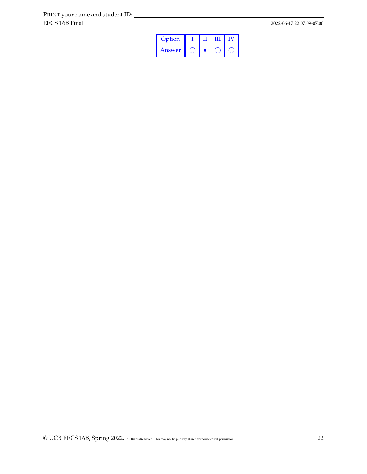| Option |  |  |
|--------|--|--|
| Answer |  |  |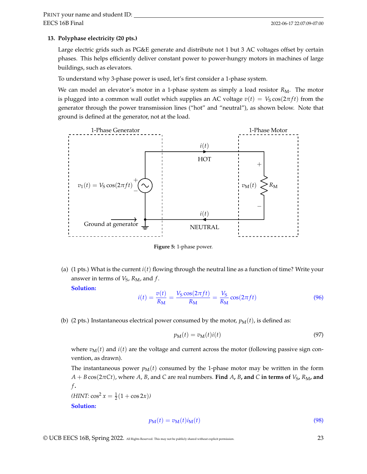#### **13. Polyphase electricity (20 pts.)**

Large electric grids such as PG&E generate and distribute not 1 but 3 AC voltages offset by certain phases. This helps efficiently deliver constant power to power-hungry motors in machines of large buildings, such as elevators.

To understand why 3-phase power is used, let's first consider a 1-phase system.

We can model an elevator's motor in a 1-phase system as simply a load resistor  $R_M$ . The motor is plugged into a common wall outlet which supplies an AC voltage  $v(t) = V_S \cos(2\pi ft)$  from the generator through the power transmission lines ("hot" and "neutral"), as shown below. Note that ground is defined at the generator, not at the load.



**Figure 5:** 1-phase power.

(a) (1 pts.) What is the current *i*(*t*) flowing through the neutral line as a function of time? Write your answer in terms of  $V_S$ ,  $R_M$ , and  $f$ .

**Solution:**

$$
i(t) = \frac{v(t)}{R_{\rm M}} = \frac{V_{\rm S} \cos(2\pi ft)}{R_{\rm M}} = \frac{V_{\rm S}}{R_{\rm M}} \cos(2\pi ft)
$$
(96)

(b) (2 pts.) Instantaneous electrical power consumed by the motor,  $p_M(t)$ , is defined as:

$$
p_{\mathbf{M}}(t) = v_{\mathbf{M}}(t)i(t) \tag{97}
$$

where  $v_M(t)$  and  $i(t)$  are the voltage and current across the motor (following passive sign convention, as drawn).

The instantaneous power  $p_M(t)$  consumed by the 1-phase motor may be written in the form  $A + B \cos(2\pi C t)$ , where *A*, *B*, and *C* are real numbers. **Find** *A*, *B*, and *C* in terms of *V*<sub>S</sub>, *R*<sub>M</sub>, and *f* **.**

 $(HINT: \cos^2 x = \frac{1}{2}(1 + \cos 2x))$ **Solution:**

$$
p_{\mathbf{M}}(t) = v_{\mathbf{M}}(t)i_{\mathbf{M}}(t) \tag{98}
$$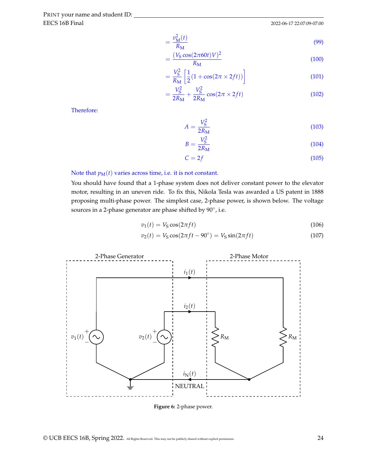$$
=\frac{v_{\rm M}^2(t)}{R_{\rm M}}
$$
\n(99)

$$
=\frac{(V_{\rm S}\cos(2\pi 60t)V)^2}{R_{\rm M}}
$$
(100)

$$
=\frac{V_S^2}{R_\mathrm{M}}\left[\frac{1}{2}(1+\cos(2\pi\times 2ft))\right]
$$
\n(101)

$$
=\frac{V_{\rm S}^2}{2R_{\rm M}}+\frac{V_{\rm S}^2}{2R_{\rm M}}\cos(2\pi\times 2ft)
$$
 (102)

Therefore:

$$
A = \frac{V_S^2}{2R_M} \tag{103}
$$

$$
B = \frac{V_{\rm S}^2}{2R_{\rm M}}
$$
\n<sup>(104)</sup>

$$
C = 2f \tag{105}
$$

#### Note that  $p_M(t)$  varies across time, i.e. it is not constant.

You should have found that a 1-phase system does not deliver constant power to the elevator motor, resulting in an uneven ride. To fix this, Nikola Tesla was awarded a US patent in 1888 proposing multi-phase power. The simplest case, 2-phase power, is shown below. The voltage sources in a 2-phase generator are phase shifted by  $90^{\circ}$ , i.e.

$$
v_1(t) = V_S \cos(2\pi ft) \tag{106}
$$

$$
v_2(t) = V_S \cos(2\pi ft - 90^\circ) = V_S \sin(2\pi ft)
$$
\n(107)



**Figure 6:** 2-phase power.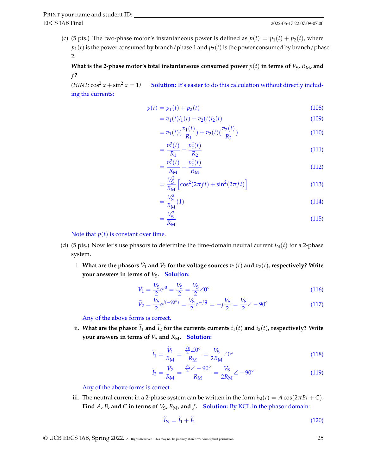(c) (5 pts.) The two-phase motor's instantaneous power is defined as  $p(t) = p_1(t) + p_2(t)$ , where  $p_1(t)$  is the power consumed by branch/phase 1 and  $p_2(t)$  is the power consumed by branch/phase 2.

What is the 2-phase motor's total instantaneous consumed power  $p(t)$  in terms of  $V_S$ ,  $R_M$ , and *f* **?**

*(HINT:*  $\cos^2 x + \sin^2 x = 1$ ) **Solution:** It's easier to do this calculation without directly including the currents:

$$
p(t) = p_1(t) + p_2(t)
$$
\n(108)

$$
= v_1(t)i_1(t) + v_2(t)i_2(t)
$$
\n(109)

$$
=v_1(t)\left(\frac{v_1(t)}{R_1}\right)+v_2(t)\left(\frac{v_2(t)}{R_2}\right) \tag{110}
$$

$$
=\frac{v_1^2(t)}{R_1}+\frac{v_2^2(t)}{R_2}
$$
\n(111)

$$
=\frac{v_1^2(t)}{R_\mathrm{M}}+\frac{v_2^2(t)}{R_\mathrm{M}}
$$
\n(112)

$$
=\frac{V_S^2}{R_\mathrm{M}}\left[\cos^2(2\pi ft) + \sin^2(2\pi ft)\right]
$$
\n(113)

$$
=\frac{V_S^2}{R_{\rm M}}(1)\tag{114}
$$

$$
=\frac{V_S^2}{R_\mathrm{M}}\tag{115}
$$

Note that  $p(t)$  is constant over time.

- (d) (5 pts.) Now let's use phasors to determine the time-domain neutral current  $i<sub>N</sub>(t)$  for a 2-phase system.
	- i. What are the phasors  $\widetilde{V}_1$  and  $\widetilde{V}_2$  for the voltage sources  $v_1(t)$  and  $v_2(t)$ , respectively? Write **your answers in terms of**  $V_S$ **. Solution:**

$$
\widetilde{V}_1 = \frac{V_{\rm S}}{2} e^{j0} = \frac{V_{\rm S}}{2} = \frac{V_{\rm S}}{2} \angle 0^{\circ}
$$
\n(116)

$$
\widetilde{V}_2 = \frac{V_S}{2} e^{j(-90^\circ)} = \frac{V_S}{2} e^{-j\frac{\pi}{2}} = -j\frac{V_S}{2} = \frac{V_S}{2} \angle -90^\circ \tag{117}
$$

Any of the above forms is correct.

ii. What are the phasor  $\tilde{I}_1$  and  $\tilde{I}_2$  for the currents currents  $i_1(t)$  and  $i_2(t)$ , respectively? Write **your answers in terms of**  $V_S$  and  $R_M$ . **Solution:** 

$$
\widetilde{I}_1 = \frac{\widetilde{V}_1}{R_\mathrm{M}} = \frac{\frac{V_\mathrm{S}}{2} \angle 0^\circ}{R_\mathrm{M}} = \frac{V_\mathrm{S}}{2R_\mathrm{M}} \angle 0^\circ \tag{118}
$$

$$
\widetilde{I}_2 = \frac{\widetilde{V}_2}{R_M} = \frac{\frac{V_S}{2} \angle -90^\circ}{R_M} = \frac{V_S}{2R_M} \angle -90^\circ \tag{119}
$$

Any of the above forms is correct.

iii. The neutral current in a 2-phase system can be written in the form  $i_N(t) = A \cos(2\pi Bt + C)$ . **Find** *A*, *B*, and *C* in terms of  $V_S$ ,  $R_M$ , and  $f$ . Solution: By KCL in the phasor domain:

$$
\widetilde{I}_{N} = \widetilde{I}_{1} + \widetilde{I}_{2} \tag{120}
$$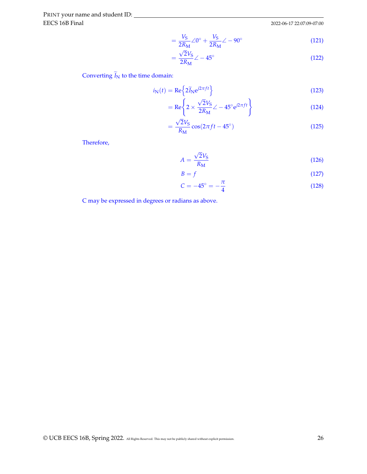EECS 16B Final PRINT your name and student ID:

2022-06-17 22:07:09-07:00

$$
=\frac{V_{\rm S}}{2R_{\rm M}}\angle 0^{\circ} + \frac{V_{\rm S}}{2R_{\rm M}}\angle -90^{\circ}
$$
 (121)

$$
=\frac{\sqrt{2}V_{\rm S}}{2R_{\rm M}}\angle -45^{\circ} \tag{122}
$$

Converting  $\widetilde{I}_N$  to the time domain:

$$
i_{\rm N}(t) = \text{Re}\left\{2\widetilde{I}_{\rm N}e^{j2\pi ft}\right\}
$$
\n(123)

$$
= \text{Re}\left\{2 \times \frac{\sqrt{2}V_{\text{S}}}{2R_{\text{M}}} \angle -45^{\circ} e^{j2\pi ft}\right\} \tag{124}
$$

$$
=\frac{\sqrt{2}V_{\rm S}}{R_{\rm M}}\cos(2\pi ft-45^\circ)
$$
\n(125)

Therefore,

$$
A = \frac{\sqrt{2}V_{\rm S}}{R_{\rm M}}
$$
 (126)

$$
B = f \tag{127}
$$

$$
C = -45^{\circ} = -\frac{\pi}{4}
$$
 (128)

C may be expressed in degrees or radians as above.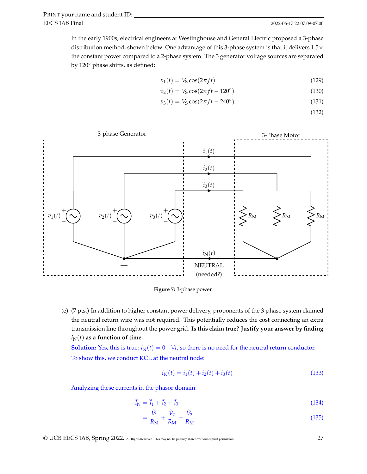In the early 1900s, electrical engineers at Westinghouse and General Electric proposed a 3-phase distribution method, shown below. One advantage of this 3-phase system is that it delivers  $1.5\times$ the constant power compared to a 2-phase system. The 3 generator voltage sources are separated by 120◦ phase shifts, as defined:

$$
v_1(t) = V_S \cos(2\pi ft) \tag{129}
$$

$$
v_2(t) = V_S \cos(2\pi ft - 120^\circ)
$$
 (130)

$$
v_3(t) = V_S \cos(2\pi ft - 240^\circ)
$$
 (131)

(132)





(e) (7 pts.) In addition to higher constant power delivery, proponents of the 3-phase system claimed the neutral return wire was not required. This potentially reduces the cost connecting an extra transmission line throughout the power grid. **Is this claim true? Justify your answer by finding**  $i<sub>N</sub>(t)$  as a function of time.

**Solution:** Yes, this is true:  $i_N(t) = 0 \quad \forall t$ , so there is no need for the neutral return conductor. To show this, we conduct KCL at the neutral node:

$$
iN(t) = i1(t) + i2(t) + i3(t)
$$
\n(133)

Analyzing these currents in the phasor domain:

$$
\widetilde{I}_{N} = \widetilde{I}_{1} + \widetilde{I}_{2} + \widetilde{I}_{3} \tag{134}
$$

$$
=\frac{V_1}{R_M} + \frac{V_2}{R_M} + \frac{V_3}{R_M} \tag{135}
$$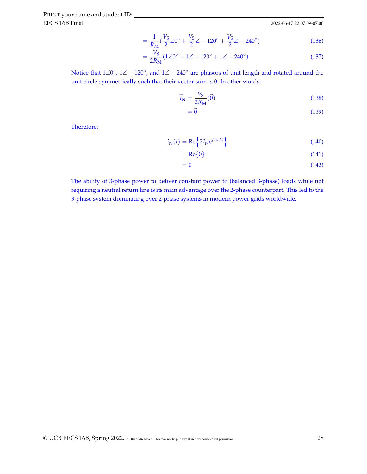2022-06-17 22:07:09-07:00

$$
= \frac{1}{R_{\rm M}} (\frac{V_{\rm S}}{2} \angle 0^{\circ} + \frac{V_{\rm S}}{2} \angle -120^{\circ} + \frac{V_{\rm S}}{2} \angle -240^{\circ})
$$
(136)

$$
=\frac{V_{\rm S}}{2R_{\rm M}}(1\angle 0^{\circ} + 1\angle -120^{\circ} + 1\angle -240^{\circ})
$$
\n(137)

Notice that  $1\angle 0^\circ$ ,  $1\angle -120^\circ$ , and  $1\angle -240^\circ$  are phasors of unit length and rotated around the unit circle symmetrically such that their vector sum is 0. In other words:

$$
\widetilde{I}_{N} = \frac{V_{S}}{2R_{M}}(\vec{0})
$$
\n(138)

$$
=\vec{0}
$$
 (139)

Therefore:

$$
i_{\rm N}(t) = \text{Re}\left\{2\widetilde{I}_{\rm N}e^{j2\pi ft}\right\} \tag{140}
$$

$$
= \text{Re}\{0\} \tag{141}
$$

$$
=0 \tag{142}
$$

The ability of 3-phase power to deliver constant power to (balanced 3-phase) loads while not requiring a neutral return line is its main advantage over the 2-phase counterpart. This led to the 3-phase system dominating over 2-phase systems in modern power grids worldwide.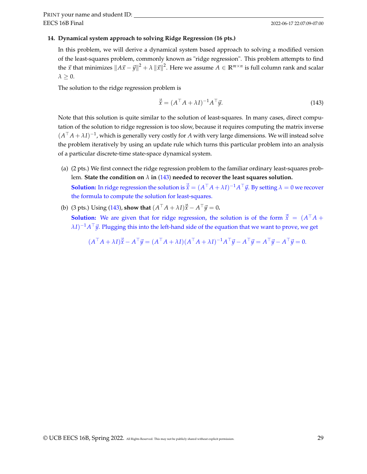#### **14. Dynamical system approach to solving Ridge Regression (16 pts.)**

In this problem, we will derive a dynamical system based approach to solving a modified version of the least-squares problem, commonly known as "ridge regression". This problem attempts to find the  $\vec{x}$  that minimizes  $\|A\vec{x}-\vec{y}\|^2+\lambda\,\|\vec{x}\|^2.$  Here we assume  $A\in\mathbb{R}^{m\times n}$  is full column rank and scalar  $\lambda > 0$ .

The solution to the ridge regression problem is

<span id="page-28-0"></span>
$$
\vec{\hat{x}} = (A^{\top} A + \lambda I)^{-1} A^{\top} \vec{y}.
$$
\n(143)

Note that this solution is quite similar to the solution of least-squares. In many cases, direct computation of the solution to ridge regression is too slow, because it requires computing the matrix inverse  $(A^{\top}A + \lambda I)^{-1}$ , which is generally very costly for *A* with very large dimensions. We will instead solve the problem iteratively by using an update rule which turns this particular problem into an analysis of a particular discrete-time state-space dynamical system.

- (a) (2 pts.) We first connect the ridge regression problem to the familiar ordinary least-squares problem. **State the condition on** *λ* **in** [\(143\)](#page-28-0) **needed to recover the least squares solution. Solution:** In ridge regression the solution is  $\vec{x} = (A^{\top}A + \lambda I)^{-1}A^{\top} \vec{y}$ . By setting  $\lambda = 0$  we recover the formula to compute the solution for least-squares.
- (b) (3 pts.) Using [\(143\)](#page-28-0), **show that**  $(A^{\top}A + \lambda I)\vec{x} A^{\top}\vec{y} = 0$ .

**Solution:** We are given that for ridge regression, the solution is of the form <sup>~</sup>*x*<sup>b</sup> = (*<sup>A</sup>* <sup>&</sup>gt;*A* +  $\lambda I)^{-1}A^\top \vec{y}.$  Plugging this into the left-hand side of the equation that we want to prove, we get

$$
(A^{\top}A + \lambda I)\vec{x} - A^{\top}\vec{y} = (A^{\top}A + \lambda I)(A^{\top}A + \lambda I)^{-1}A^{\top}\vec{y} - A^{\top}\vec{y} = A^{\top}\vec{y} - A^{\top}\vec{y} = 0.
$$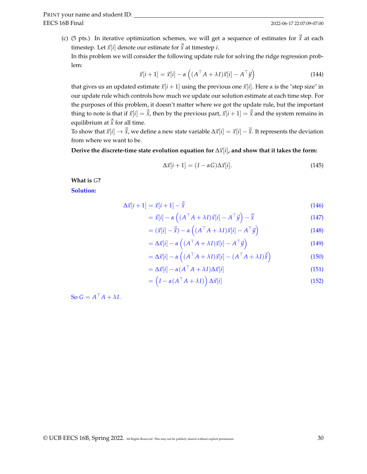(c) (5 pts.) In iterative optimization schemes, we will get a sequence of estimates for  $\hat{\vec{x}}$  at each timestep. Let  $\vec{x}[i]$  denote our estimate for  $\vec{\hat{x}}$  at timestep *i*.

In this problem we will consider the following update rule for solving the ridge regression problem:

$$
\vec{x}[i+1] = \vec{x}[i] - \alpha \left( (A^\top A + \lambda I)\vec{x}[i] - A^\top \vec{y} \right)
$$
\n(144)

that gives us an updated estimate  $\vec{x}[i + 1]$  using the previous one  $\vec{x}[i]$ . Here  $\alpha$  is the "step size" in our update rule which controls how much we update our solution estimate at each time step. For the purposes of this problem, it doesn't matter where we got the update rule, but the important thing to note is that if  $\vec{x}[i] = \vec{\hat{x}}$ , then by the previous part,  $\vec{x}[i+1] = \vec{\hat{x}}$  and the system remains in equilibrium at  $\vec{\hat{x}}$  for all time.

To show that  $\vec{x}[i] \rightarrow \vec{\hat{x}}$ , we define a new state variable  $\Delta \vec{x}[i] = \vec{x}[i] - \vec{\hat{x}}$ . It represents the deviation from where we want to be.

**Derive the discrete-time state evolution equation for** ∆~*x*[*i*]**, and show that it takes the form:**

<span id="page-29-0"></span>
$$
\Delta \vec{x}[i+1] = (I - \alpha G) \Delta \vec{x}[i]. \tag{145}
$$

**What is** *G***?**

**Solution:**

$$
\Delta \vec{x}[i+1] = \vec{x}[i+1] - \vec{\hat{x}} \tag{146}
$$

$$
= \vec{x}[i] - \alpha \left( (A^\top A + \lambda I) \vec{x}[i] - A^\top \vec{y} \right) - \vec{\hat{x}} \tag{147}
$$

$$
= (\vec{x}[i] - \vec{\hat{x}}) - \alpha \left( (A^\top A + \lambda I) \vec{x}[i] - A^\top \vec{y} \right)
$$
(148)

$$
= \Delta \vec{x}[i] - \alpha \left( (A^\top A + \lambda I) \vec{x}[i] - A^\top \vec{y} \right)
$$
\n(149)

$$
= \Delta \vec{x}[i] - \alpha \left( (A^\top A + \lambda I) \vec{x}[i] - (A^\top A + \lambda I) \vec{\hat{x}} \right)
$$
(150)

$$
= \Delta \vec{x}[i] - \alpha (A^{\top} A + \lambda I) \Delta \vec{x}[i] \tag{151}
$$

$$
= \left(I - \alpha(A^\top A + \lambda I)\right) \Delta \vec{x}[i] \tag{152}
$$

So  $G = A^{\top}A + \lambda I$ .